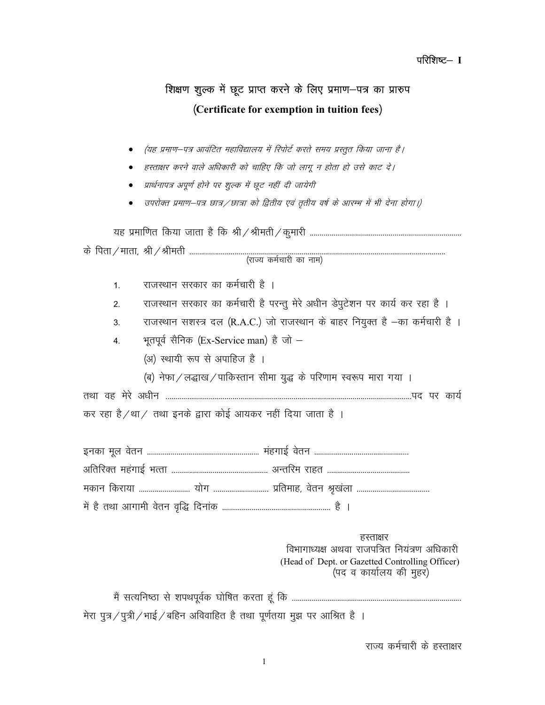### परिशिष्ट– I

## शिक्षण शुल्क में छूट प्राप्त करने के लिए प्रमाण-पत्र का प्रारुप (Certificate for exemption in tuition fees)

- (यह प्रमाण–पत्र आवंटित महाविद्यालय में रिपोर्ट करते समय प्रस्तुत किया जाना है।  $\bullet$
- हस्ताक्षर करने वाले अधिकारी को चाहिए कि जो लागू न होता हो उसे काट दे।  $\bullet$
- प्रार्थनापत्र अपूर्ण होने पर शुल्क में छूट नहीं दी जायेगी  $\bullet$
- उपरोक्त प्रमाण–पत्र छात्र ⁄ छात्रा को द्वितीय एवं तृतीय वर्ष के आरम्भ में भी देना होगा।)

| 1.               | राजस्थान सरकार का कर्मचारी है ।                                                                                                         |
|------------------|-----------------------------------------------------------------------------------------------------------------------------------------|
| 2.               | राजस्थान सरकार का कर्मचारी है परन्तु मेरे अधीन डेपुटेशन पर कार्य कर रहा है ।                                                            |
| 3.               | राजस्थान सशस्त्र दल (R.A.C.) जो राजस्थान के बाहर नियुक्त है -का कर्मचारी है ।                                                           |
| $\overline{4}$ . | भूतपूर्व सैनिक (Ex-Service man) है जो -                                                                                                 |
|                  | (अ) स्थायी रूप से अपाहिज है ।                                                                                                           |
|                  | (ब) नेफा / लद्धाख / पाकिस्तान सीमा युद्ध के परिणाम स्वरूप मारा गया ।                                                                    |
| तथा वह मेरे अधीन |                                                                                                                                         |
|                  | कर रहा है /था / तथा इनके द्वारा कोई आयकर नहीं दिया जाता है ।                                                                            |
|                  |                                                                                                                                         |
|                  |                                                                                                                                         |
|                  |                                                                                                                                         |
|                  |                                                                                                                                         |
|                  | हस्ताक्षर<br>विभागाध्यक्ष अथवा राजपत्रित नियंत्रण अधिकारी<br>(Head of Dept. or Gazetted Controlling Officer)<br>(पद व कार्यालय की मुहर) |
|                  |                                                                                                                                         |

मेरा पुत्र / पुत्री / भाई / बहिन अविवाहित है तथा पूर्णतया मुझ पर आश्रित है ।

राज्य कर्मचारी के हस्ताक्षर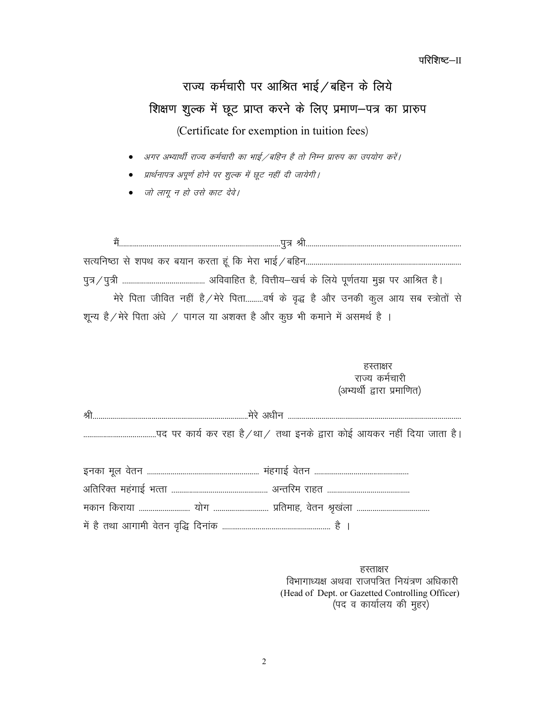परिशिष्ट $-II$ 

# राज्य कर्मचारी पर आश्रित भाई $\sqrt{ }$ बहिन के लिये शिक्षण शुल्क में छूट प्राप्त करने के लिए प्रमाण-पत्र का प्रारुप

(Certificate for exemption in tuition fees)

अगर अभ्यार्थी राज्य कर्मचारी का भाई /बहिन है तो निम्न प्रारुप का उपयोग करें।

प्रार्थनापत्र अपूर्ण होने पर शुल्क में छूट नहीं दी जायेगी।

जो लागू न हो उसे काट देवे।

eSa----------------------------------------------------------------------------------iq= Jh------------------------------------------------------------------------------ lR;fu"Bk ls 'kiFk dj c;ku djrk gaw fd e sjk HkkbZ@cfgu------------------------------------------------------------------------------ iq=@iq=h ------------------------------------------ vfookfgr gS] foÙkh;&[kpZ ds fy; s iw.kZr;k eq> ij vkfJr gSA मेरे पिता जीवित नहीं है/मेरे पिता.........वर्ष के वृद्ध है और उनकी कुल आय सब स्त्रोतों से शून्य है/मेरे पिता अंधे / पागल या अशक्त है और कूछ भी कमाने में असमर्थ है ।

 $\overline{\mathcal{G}}$ र स्ताक्षर करने के लिए किया जाता है। जिसमें के लिए किया जाता है। जिसमें के लिए किया जाता है। जिसमें क राज्य कर्मचारी (अभ्यर्थी द्वारा प्रमाणित)

| প্ল |  |                                                                         |
|-----|--|-------------------------------------------------------------------------|
|     |  | पद पर कार्य कर रहा है ⁄ था ⁄तथा इनके द्वारा कोई आयकर नहीं दिया जाता है। |
|     |  |                                                                         |

हस्ताक्षर विभागाध्यक्ष अथवा राजपत्रित नियंत्रण अधिकारी (Head of Dept. or Gazetted Controlling Officer) (पद व कार्यालय की मुहर)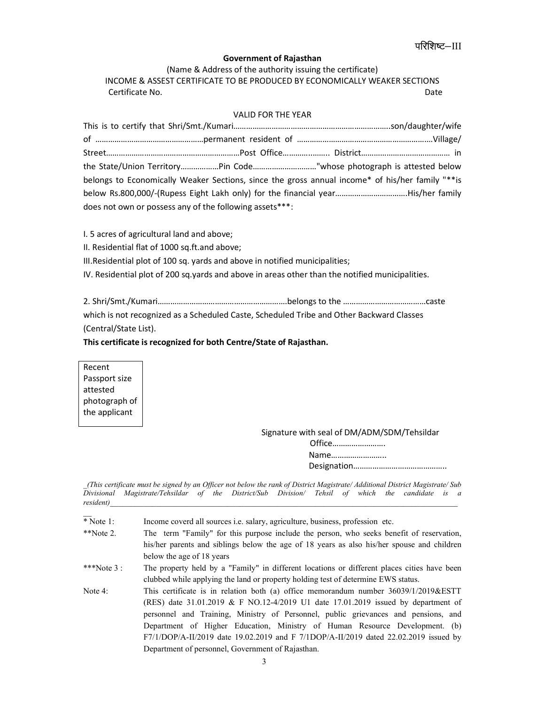## रेशिष्ट—III

#### Government of Rajasthan

(Name & Address of the authority issuing the certificate) INCOME & ASSEST CERTIFICATE TO BE PRODUCED BY ECONOMICALLY WEAKER SECTIONS Certificate No. Date

#### VALID FOR THE YEAR

| the State/Union TerritoryPin Code"whose photograph is attested below                            |  |  |  |
|-------------------------------------------------------------------------------------------------|--|--|--|
| belongs to Economically Weaker Sections, since the gross annual income* of his/her family "**is |  |  |  |
|                                                                                                 |  |  |  |
| does not own or possess any of the following assets***:                                         |  |  |  |

I. 5 acres of agricultural land and above;

II. Residential flat of 1000 sq.ft.and above;

III.Residential plot of 100 sq. yards and above in notified municipalities;

IV. Residential plot of 200 sq.yards and above in areas other than the notified municipalities.

2. Shri/Smt./Kumari…………………………………………………….belongs to the …………………………………caste which is not recognized as a Scheduled Caste, Scheduled Tribe and Other Backward Classes (Central/State List).

#### This certificate is recognized for both Centre/State of Rajasthan.

Recent Passport size attested photograph of the applicant

Signature with seal of DM/ADM/SDM/Tehsildar

| Office |
|--------|
| Name   |
|        |

\_(This certificate must be signed by an Officer not below the rank of District Magistrate/ Additional District Magistrate/ Sub Divisional Magistrate/Tehsildar of the District/Sub Division/ Tehsil of which the candidate is a  $resident()$ 

 $\overline*$  Note 1: Income coverd all sources i.e. salary, agriculture, business, profession etc.

| $*$ Note 2. | The term "Family" for this purpose include the person, who seeks benefit of reservation,   |
|-------------|--------------------------------------------------------------------------------------------|
|             | his/her parents and siblings below the age of 18 years as also his/her spouse and children |
|             | below the age of 18 years                                                                  |

\*\*\*Note 3 : The property held by a "Family" in different locations or different places cities have been clubbed while applying the land or property holding test of determine EWS status.

Note 4: This certificate is in relation both (a) office memorandum number 36039/1/2019&ESTT (RES) date 31.01.2019 & F NO.12-4/2019 U1 date 17.01.2019 issued by department of personnel and Training, Ministry of Personnel, public grievances and pensions, and Department of Higher Education, Ministry of Human Resource Development. (b) F7/1/DOP/A-II/2019 date 19.02.2019 and F 7/1DOP/A-II/2019 dated 22.02.2019 issued by Department of personnel, Government of Rajasthan.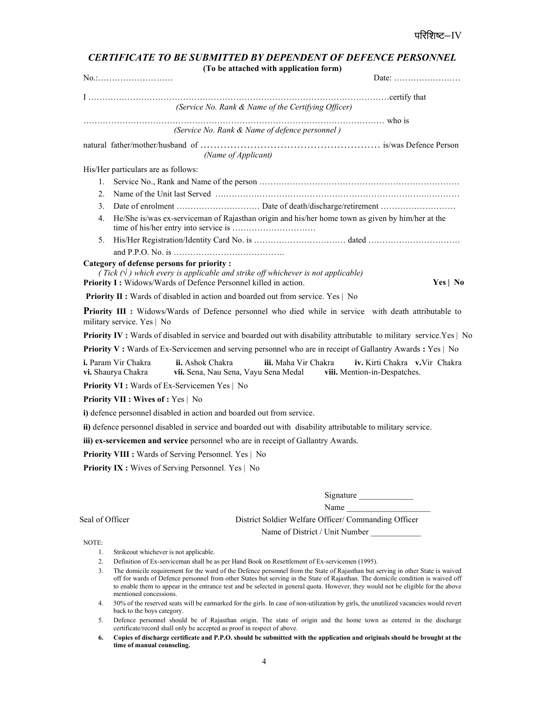|                                                      | <b>CERTIFICATE TO BE SUBMITTED BY DEPENDENT OF DEFENCE PERSONNEL</b><br>(To be attached with application form)                                                                                                                    |          |
|------------------------------------------------------|-----------------------------------------------------------------------------------------------------------------------------------------------------------------------------------------------------------------------------------|----------|
| No.:                                                 | Date:                                                                                                                                                                                                                             |          |
|                                                      |                                                                                                                                                                                                                                   |          |
|                                                      | (Service No. Rank & Name of the Certifying Officer)                                                                                                                                                                               |          |
|                                                      | (Service No. Rank & Name of defence personnel)                                                                                                                                                                                    |          |
|                                                      | (Name of Applicant)                                                                                                                                                                                                               |          |
| His/Her particulars are as follows:                  |                                                                                                                                                                                                                                   |          |
| 1.                                                   |                                                                                                                                                                                                                                   |          |
| 2.                                                   |                                                                                                                                                                                                                                   |          |
| 3.                                                   |                                                                                                                                                                                                                                   |          |
| 4.                                                   | He/She is/was ex-serviceman of Rajasthan origin and his/her home town as given by him/her at the                                                                                                                                  |          |
| 5.                                                   |                                                                                                                                                                                                                                   |          |
|                                                      |                                                                                                                                                                                                                                   |          |
| Category of defense persons for priority :           | (Tick $(\nabla)$ ) which every is applicable and strike off whichever is not applicable)<br>Priority I: Widows/Wards of Defence Personnel killed in action.                                                                       | Yes   No |
|                                                      | Priority II : Wards of disabled in action and boarded out from service. Yes   No                                                                                                                                                  |          |
| military service. Yes   No                           | <b>Priority III</b> : Widows/Wards of Defence personnel who died while in service with death attributable to                                                                                                                      |          |
|                                                      | <b>Priority IV</b> : Wards of disabled in service and boarded out with disability attributable to military service. Yes   No                                                                                                      |          |
|                                                      | Priority V: Wards of Ex-Servicemen and serving personnel who are in receipt of Gallantry Awards : Yes   No                                                                                                                        |          |
| <i>i.</i> Param Vir Chakra<br>vi. Shaurya Chakra     | ii. Ashok Chakra<br>iii. Maha Vir Chakra<br>iv. Kirti Chakra v. Vir Chakra<br>vii. Sena, Nau Sena, Vayu Sena Medal<br>viii. Mention-in-Despatches.                                                                                |          |
| <b>Priority VI :</b> Wards of Ex-Servicemen Yes   No |                                                                                                                                                                                                                                   |          |
| Priority VII : Wives of : Yes   No                   |                                                                                                                                                                                                                                   |          |
|                                                      | i) defence personnel disabled in action and boarded out from service.                                                                                                                                                             |          |
|                                                      | ii) defence personnel disabled in service and boarded out with disability attributable to military service.                                                                                                                       |          |
|                                                      | iii) ex-servicemen and service personnel who are in receipt of Gallantry Awards.                                                                                                                                                  |          |
|                                                      | Priority VIII : Wards of Serving Personnel. Yes   No                                                                                                                                                                              |          |
|                                                      | <b>Priority IX:</b> Wives of Serving Personnel. Yes   No                                                                                                                                                                          |          |
|                                                      |                                                                                                                                                                                                                                   |          |
|                                                      | Signature                                                                                                                                                                                                                         |          |
|                                                      | Name                                                                                                                                                                                                                              |          |
| Seal of Officer                                      | District Soldier Welfare Officer/ Commanding Officer                                                                                                                                                                              |          |
|                                                      | Name of District / Unit Number                                                                                                                                                                                                    |          |
| NOTE:                                                |                                                                                                                                                                                                                                   |          |
| 1.<br>Strikeout whichever is not applicable.         |                                                                                                                                                                                                                                   |          |
| 2.<br>3.                                             | Definition of Ex-serviceman shall be as per Hand Book on Resettlement of Ex-servicemen (1995).<br>The domicile requirement for the ward of the Defence personnel from the State of Rajasthan but serving in other State is waived |          |

off for wards of Defence personnel from other States but serving in the State of Rajasthan. The domicile condition is waived off to enable them to appear in the entrance test and be selected in general quota. However, they would not be eligible for the above mentioned concessions.

4. 50% of the reserved seats will be earmarked for the girls. In case of non-utilization by girls, the unutilized vacancies would revert back to the boys category.

- 5. Defence personnel should be of Rajasthan origin. The state of origin and the home town as entered in the discharge certificate/record shall only be accepted as proof in respect of above.
- 6. Copies of discharge certificate and P.P.O. should be submitted with the application and originals should be brought at the time of manual counseling.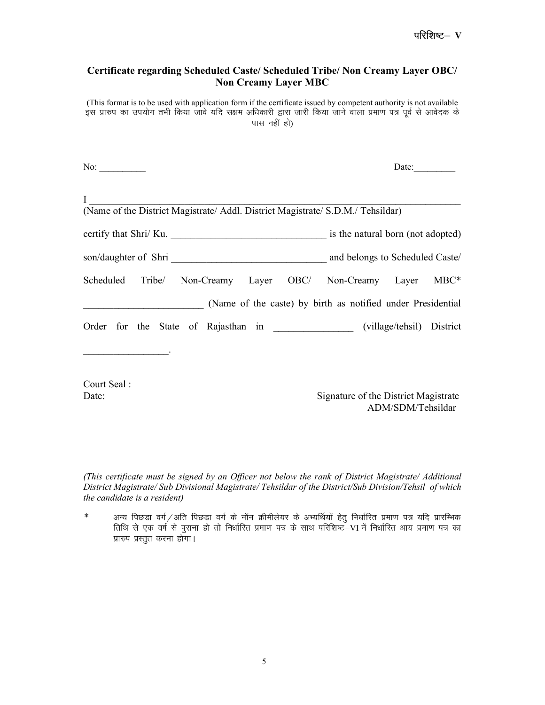## Certificate regarding Scheduled Caste/ Scheduled Tribe/ Non Creamy Layer OBC/ Non Creamy Layer MBC

(This format is to be used with application form if the certificate issued by competent authority is not available र माहिला का उपयोग तभी किया जावे यदि सक्षम अधिकारी द्वारा जारी किया जाने वाला प्रमाण पत्र पूर्व से आवेदक के पास नहीं हो)

| No: $\qquad \qquad$                                                                | Date:                                                       |
|------------------------------------------------------------------------------------|-------------------------------------------------------------|
| $\mathbf{I}$                                                                       |                                                             |
| (Name of the District Magistrate/ Addl. District Magistrate/ S.D.M./ Tehsildar)    |                                                             |
| certify that Shri/ Ku.                                                             | is the natural born (not adopted)                           |
|                                                                                    | and belongs to Scheduled Caste/                             |
| Scheduled Tribe/ Non-Creamy Layer OBC/ Non-Creamy Layer MBC*                       |                                                             |
|                                                                                    | (Name of the caste) by birth as notified under Presidential |
| Order for the State of Rajasthan in ____________________ (village/tehsil) District |                                                             |
| <u> 1990 - Johann Barbara, martin eta </u>                                         |                                                             |
| Court Seal:<br>Date:                                                               | Signature of the District Magistrate<br>ADM/SDM/Tehsildar   |

(This certificate must be signed by an Officer not below the rank of District Magistrate/ Additional District Magistrate/ Sub Divisional Magistrate/ Tehsildar of the District/Sub Division/Tehsil of which the candidate is a resident)

 $*$  vaन्य पिछड़ा वर्ग/अति पिछड़ा वर्ग के नॉन क्रीमीलेयर के अभ्यर्थियों हेतु निर्धारित प्रमाण पत्र यदि प्रारम्भिक fiिधि से एक वर्ष से पुराना हो तो निर्धारित प्रमाण पत्र के साथ परिशिष्ट–VI में निर्धारित आय प्रमाण पत्र का प्रारुप प्रस्तुत करना होगा।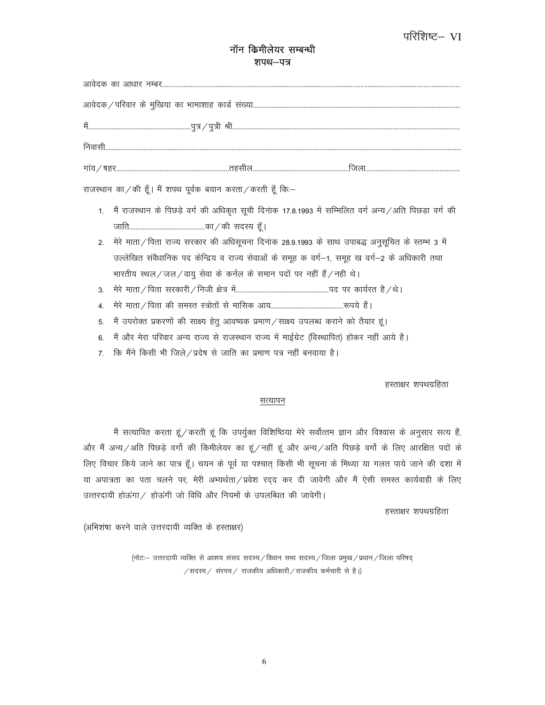## परिशिष्ट– VI

## नॉन किमीलेयर सम्बन्धी शपथ-पत्र

|                | राजस्थान का / की हूँ। मैं शपथ पूर्वक बयान करता / करती हूँ कि:-                                              |  |
|----------------|-------------------------------------------------------------------------------------------------------------|--|
|                | 1.   मैं राजस्थान के पिछड़े वर्ग की अधिकृत सूची दिनांक 17.8.1993 में सम्मिलित वर्ग अन्य /अति पिछड़ा वर्ग की |  |
|                |                                                                                                             |  |
|                | 2. मेरे माता/पिता राज्य सरकार की अधिसूचना दिनांक 28.9.1993 के साथ उपाबद्ध अनुसूचित के स्तम्भ 3 में          |  |
|                | उल्लेखित संवैधानिक पद केन्द्रिय व राज्य सेवाओं के समूह क वर्ग-1, समूह ख वर्ग-2 के अधिकारी तथा               |  |
|                | भारतीय स्थल/जल/वायु सेवा के कर्नल के समान पदों पर नहीं हैं/नही थे।                                          |  |
| 3 <sub>l</sub> |                                                                                                             |  |
| 4.             |                                                                                                             |  |
| 5.             | मैं उपरोक्त प्रकरणों की साक्ष्य हेतु आवष्यक प्रमाण/साक्ष्य उपलब्ध कराने को तैयार हूं।                       |  |
| 6.             | मैं और मेरा परिवार अन्य राज्य से राजस्थान राज्य में माईग्रेट (विस्थापित) होकर नहीं आये है।                  |  |
| $7^{\circ}$    | कि मैंने किसी भी जिले/प्रदेष से जाति का प्रमाण पत्र नहीं बनवाया है।                                         |  |

हस्ताक्षर शपथग्रहिता

#### <u>सत्यापन</u>

मैं सत्यापित करता हूं / करती हूं कि उपर्युक्त विशिष्ठिया मेरे सर्वोत्तम ज्ञान और विश्वास के अनुसार सत्य हैं, और मैं अन्य/अति पिछड़े वर्गो की किमीलेयर का हूं/नहीं हूं और अन्य/अति पिछड़े वर्गो के लिए आरक्षित पदों के लिए विचार किये जाने का पात्र हूँ। चयन के पूर्व या पश्चात् किसी भी सूचना के मिथ्या या गलत पाये जाने की दशा में या अपात्रता का पता चलने पर, मेरी अभ्यर्थता/प्रवेश रद्द कर दी जावेगी और मैं ऐसी समस्त कार्यवाही के लिए उत्तरदायी होऊंगा $/$  होऊंगी जो विधि और नियमों के उपलब्धित की जावेगी।

हस्ताक्षर शपथग्रहिता

(अभिशंषा करने वाले उत्तरदायी व्यक्ति के हस्ताक्षर)

(नोटः- उत्तरदायी व्यक्ति से आशय संसद सदस्य / विधान सभा सदस्य / जिला प्रमुख / प्रधान / जिला परिषद्  $\ell$ सदस्य $\ell$  संरपच $\ell$  राजकीय अधिकारी  $\ell$ राजकीय कर्मचारी से है।)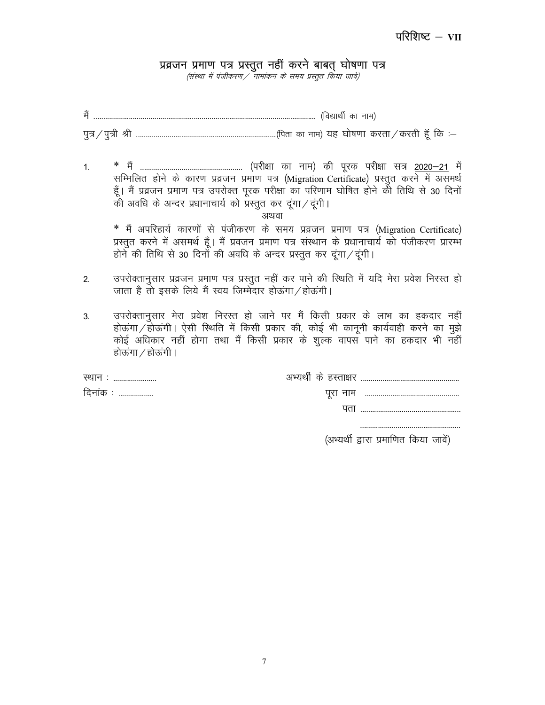## प्रव्रजन प्रमाण पत्र प्रस्तुत नहीं करने बाबत् घोषणा पत्र

(संस्था में पंजीकरण / नामांकन के समय प्रस्तुत किया जावे)

 $1.$ सम्मिलित होने के कारण प्रव्रजन प्रमाण पत्र (Migration Certificate) प्रस्तुत करने में असमर्थ हूँ। मैं प्रव्रजन प्रमाण पत्र उपरोक्त पूरक परीक्षा का परिणाम घोषित होने को तिथि से 30 दिनों की अवधि के अन्दर प्रधानाचार्य को प्रस्तुत कर दूंगा/ दूंगी।

\* मैं अपरिहार्य कारणों से पंजीकरण के समय प्रव्रजन प्रमाण पत्र (Migration Certificate) प्रस्तुत करने में असमर्थ हूँ। मैं प्रवजन प्रमाण पत्र संस्थान के प्रधानाचार्य को पंजीकरण प्रारम्भ होने की तिथि से 30 दिनों की अवधि के अन्दर प्रस्तुत कर दूंगा/दूंगी।

- उपरोक्तानुसार प्रव्रजन प्रमाण पत्र प्रस्तुत नहीं कर पाने की स्थिति में यदि मेरा प्रवेश निरस्त हो 2. जाता है तो इसके लिये मैं स्वय जिम्मेदार होऊंगा / होऊंगी।
- उपरोक्तानुसार मेरा प्रवेश निरस्त हो जाने पर मैं किसी प्रकार के लाभ का हकदार नहीं  $3.$ होऊंगा/होऊंगी। ऐसी स्थिति में किसी प्रकार की, कोई भी कानूनी कार्यवाही करने का मूझे कोई अधिकार नहीं होगा तथा मैं किसी प्रकार के शुल्क वापस पाने का हकदार भी नहीं होऊंगा / होऊंगी।

| स्थान :<br>  |  |
|--------------|--|
| दिनांक :<br> |  |
|              |  |

(अभ्यर्थी द्वारा प्रमाणित किया जावें)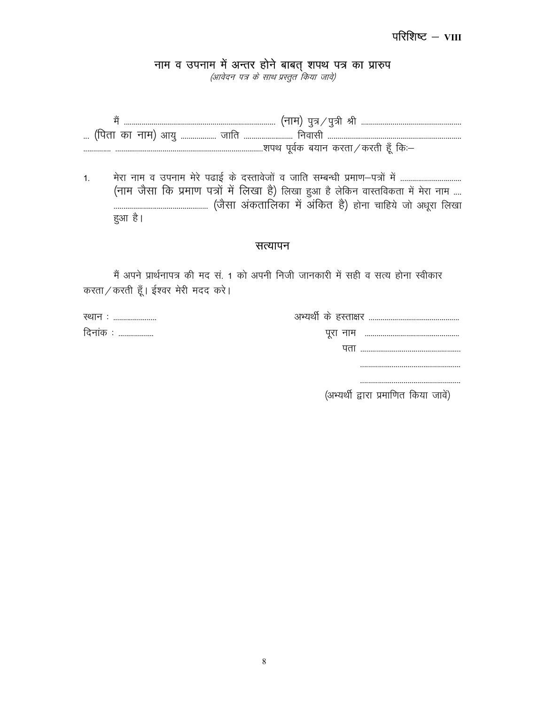नाम व उपनाम में अन्तर होने बाबत् शपथ पत्र का प्रारुप<br>*(आवेदन पत्र के साथ प्रस्तुत किया जावे)* 

 $1<sub>1</sub>$ (नाम जैसा कि प्रमाण पत्रों में लिखा है) लिखा हुआ है लेकिन वास्तविकता में मेरा नाम .... हुआ है।

### सत्यापन

मैं अपने प्रार्थनापत्र की मद सं. 1 को अपनी निजी जानकारी में सही व सत्य होना स्वीकार करता / करती हैं। ईश्वर मेरी मदद करे।

| स्थान :      |                       |
|--------------|-----------------------|
| दिनांक :<br> |                       |
|              | ЧПІ …………………………………………… |
|              |                       |

(अभ्यर्थी द्वारा प्रमाणित किया जावें)